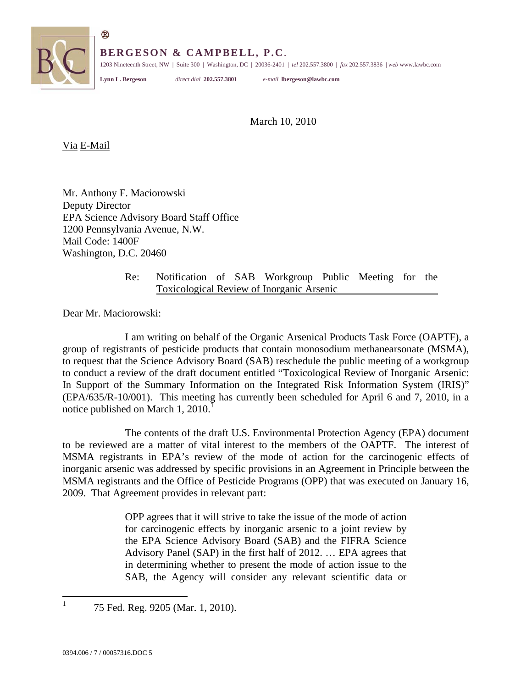

**BERGESON & CAMPBELL, P.C**.

1203 Nineteenth Street, NW | Suite 300 | Washington, DC | 20036-2401 | *tel* 202.557.3800 | *fax* 202.557.3836 | *web*<www.lawbc.com>

®

**Lynn L. Bergeson** *direct dial* **202.557.3801** *e-mail* **[lbergeson@lawbc.com](mailto:lbergeson@lawbc.com)** 

March 10, 2010

Via E-Mail

Mr. Anthony F. Maciorowski Deputy Director EPA Science Advisory Board Staff Office 1200 Pennsylvania Avenue, N.W. Mail Code: 1400F Washington, D.C. 20460

> l Re: Notification of SAB Workgroup Public Meeting for the Toxicological Review of Inorganic Arsenic

Dear Mr. Maciorowski:

I am writing on behalf of the Organic Arsenical Products Task Force (OAPTF), a group of registrants of pesticide products that contain monosodium methanearsonate (MSMA), to request that the Science Advisory Board (SAB) reschedule the public meeting of a workgroup to conduct a review of the draft document entitled "Toxicological Review of Inorganic Arsenic: In Support of the Summary Information on the Integrated Risk Information System (IRIS)" (EPA/635/R-10/001). This meeting has currently been scheduled for April 6 and 7, 2010, in a notice published on March 1,  $2010<sup>1</sup>$ 

The contents of the draft U.S. Environmental Protection Agency (EPA) document to be reviewed are a matter of vital interest to the members of the OAPTF. The interest of MSMA registrants in EPA's review of the mode of action for the carcinogenic effects of inorganic arsenic was addressed by specific provisions in an Agreement in Principle between the MSMA registrants and the Office of Pesticide Programs (OPP) that was executed on January 16, 2009. That Agreement provides in relevant part:

> OPP agrees that it will strive to take the issue of the mode of action for carcinogenic effects by inorganic arsenic to a joint review by the EPA Science Advisory Board (SAB) and the FIFRA Science Advisory Panel (SAP) in the first half of 2012. … EPA agrees that in determining whether to present the mode of action issue to the SAB, the Agency will consider any relevant scientific data or

 $\mathbf{1}$ 

<sup>1 75</sup> Fed. Reg. 9205 (Mar. 1, 2010).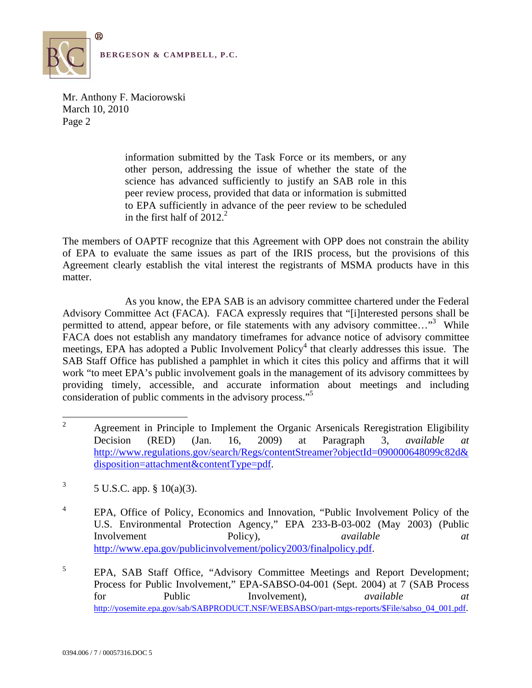

> information submitted by the Task Force or its members, or any other person, addressing the issue of whether the state of the science has advanced sufficiently to justify an SAB role in this peer review process, provided that data or information is submitted to EPA sufficiently in advance of the peer review to be scheduled in the first half of  $2012<sup>2</sup>$ .

The members of OAPTF recognize that this Agreement with OPP does not constrain the ability of EPA to evaluate the same issues as part of the IRIS process, but the provisions of this Agreement clearly establish the vital interest the registrants of MSMA products have in this matter.

As you know, the EPA SAB is an advisory committee chartered under the Federal Advisory Committee Act (FACA). FACA expressly requires that "[i]nterested persons shall be permitted to attend, appear before, or file statements with any advisory committee..."<sup>3</sup> While FACA does not establish any mandatory timeframes for advance notice of advisory committee meetings, EPA has adopted a Public Involvement Policy<sup>4</sup> that clearly addresses this issue. The SAB Staff Office has published a pamphlet in which it cites this policy and affirms that it will work "to meet EPA's public involvement goals in the management of its advisory committees by providing timely, accessible, and accurate information about meetings and including consideration of public comments in the advisory process."5

- $\overline{3}$ 3 5 U.S.C. app. § 10(a)(3).
- $\overline{4}$ 4 EPA, Office of Policy, Economics and Innovation, "Public Involvement Policy of the U.S. Environmental Protection Agency," EPA 233-B-03-002 (May 2003) (Public Involvement Policy), available at a *available* at *a* <http://www.epa.gov/publicinvolvement/policy2003/finalpolicy.pdf>.

 $\overline{a}$ 2 Agreement in Principle to Implement the Organic Arsenicals Reregistration Eligibility Decision (RED) (Jan. 16, 2009) at Paragraph 3, *available at*  <http://www.regulations.gov/search/Regs/contentStreamer?objectId=090000648099c82d>& disposition=attachment&contentType=pdf.

 $\sqrt{5}$ 5 EPA, SAB Staff Office, "Advisory Committee Meetings and Report Development; Process for Public Involvement," EPA-SABSO-04-001 (Sept. 2004) at 7 (SAB Process for Public Involvement), *available at*  [http://yosemite.epa.gov/sab/SABPRODUCT.NSF/WEBSABSO/part-mtgs-reports/\\$File/sabso\\_04\\_001.pdf](http://yosemite.epa.gov/sab/SABPRODUCT.NSF/WEBSABSO/part-mtgs-reports/$File/sabso_04_001.pdf).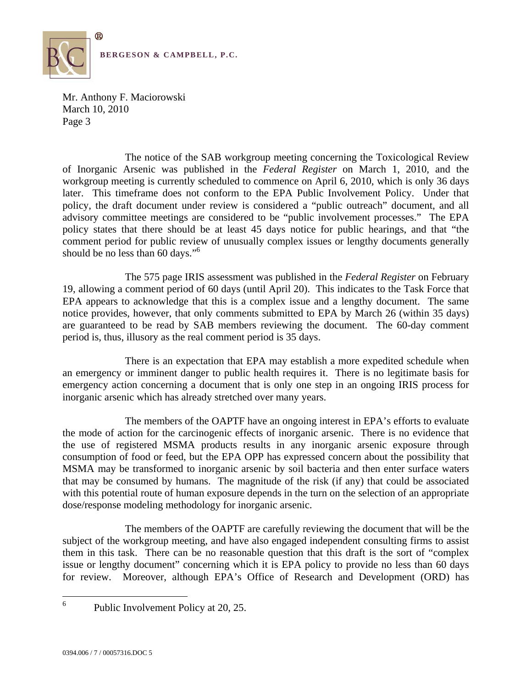

The notice of the SAB workgroup meeting concerning the Toxicological Review of Inorganic Arsenic was published in the *Federal Register* on March 1, 2010, and the workgroup meeting is currently scheduled to commence on April 6, 2010, which is only 36 days later. This timeframe does not conform to the EPA Public Involvement Policy. Under that policy, the draft document under review is considered a "public outreach" document, and all advisory committee meetings are considered to be "public involvement processes." The EPA policy states that there should be at least 45 days notice for public hearings, and that "the comment period for public review of unusually complex issues or lengthy documents generally should be no less than 60 days."<sup>6</sup>

The 575 page IRIS assessment was published in the *Federal Register* on February 19, allowing a comment period of 60 days (until April 20). This indicates to the Task Force that EPA appears to acknowledge that this is a complex issue and a lengthy document. The same notice provides, however, that only comments submitted to EPA by March 26 (within 35 days) are guaranteed to be read by SAB members reviewing the document. The 60-day comment period is, thus, illusory as the real comment period is 35 days.

There is an expectation that EPA may establish a more expedited schedule when an emergency or imminent danger to public health requires it. There is no legitimate basis for emergency action concerning a document that is only one step in an ongoing IRIS process for inorganic arsenic which has already stretched over many years.

The members of the OAPTF have an ongoing interest in EPA's efforts to evaluate the mode of action for the carcinogenic effects of inorganic arsenic. There is no evidence that the use of registered MSMA products results in any inorganic arsenic exposure through consumption of food or feed, but the EPA OPP has expressed concern about the possibility that MSMA may be transformed to inorganic arsenic by soil bacteria and then enter surface waters that may be consumed by humans. The magnitude of the risk (if any) that could be associated with this potential route of human exposure depends in the turn on the selection of an appropriate dose/response modeling methodology for inorganic arsenic.

The members of the OAPTF are carefully reviewing the document that will be the subject of the workgroup meeting, and have also engaged independent consulting firms to assist them in this task. There can be no reasonable question that this draft is the sort of "complex issue or lengthy document" concerning which it is EPA policy to provide no less than 60 days for review. Moreover, although EPA's Office of Research and Development (ORD) has

 $\overline{a}$ 

 6 Public Involvement Policy at 20, 25.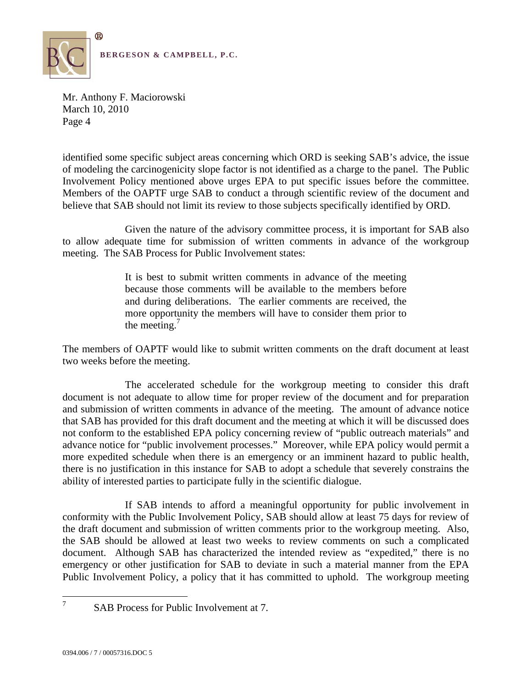

 Involvement Policy mentioned above urges EPA to put specific issues before the committee. Members of the OAPTF urge SAB to conduct a through scientific review of the document and identified some specific subject areas concerning which ORD is seeking SAB's advice, the issue of modeling the carcinogenicity slope factor is not identified as a charge to the panel. The Public believe that SAB should not limit its review to those subjects specifically identified by ORD.

Given the nature of the advisory committee process, it is important for SAB also to allow adequate time for submission of written comments in advance of the workgroup meeting. The SAB Process for Public Involvement states:

> It is best to submit written comments in advance of the meeting because those comments will be available to the members before and during deliberations. The earlier comments are received, the more opportunity the members will have to consider them prior to the meeting. $<sup>7</sup>$ </sup>

The members of OAPTF would like to submit written comments on the draft document at least two weeks before the meeting.

The accelerated schedule for the workgroup meeting to consider this draft document is not adequate to allow time for proper review of the document and for preparation and submission of written comments in advance of the meeting. The amount of advance notice that SAB has provided for this draft document and the meeting at which it will be discussed does not conform to the established EPA policy concerning review of "public outreach materials" and advance notice for "public involvement processes." Moreover, while EPA policy would permit a more expedited schedule when there is an emergency or an imminent hazard to public health, there is no justification in this instance for SAB to adopt a schedule that severely constrains the ability of interested parties to participate fully in the scientific dialogue.

If SAB intends to afford a meaningful opportunity for public involvement in conformity with the Public Involvement Policy, SAB should allow at least 75 days for review of the draft document and submission of written comments prior to the workgroup meeting. Also, the SAB should be allowed at least two weeks to review comments on such a complicated document. Although SAB has characterized the intended review as "expedited," there is no emergency or other justification for SAB to deviate in such a material manner from the EPA Public Involvement Policy, a policy that it has committed to uphold. The workgroup meeting

 $\overline{a}$ 7

SAB Process for Public Involvement at 7.